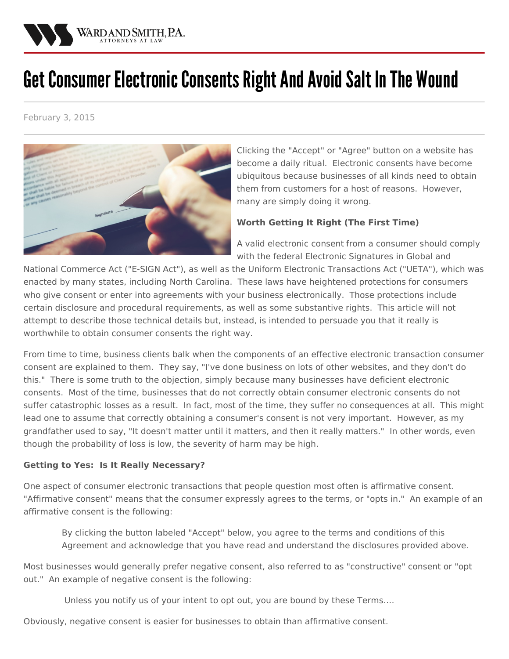

# Get Consumer Electronic Consents Right And Avoid Salt In The Wound

February 3, 2015



Clicking the "Accept" or "Agree" button on a website has become a daily ritual. Electronic consents have become ubiquitous because businesses of all kinds need to obtain them from customers for a host of reasons. However, many are simply doing it wrong.

## **Worth Getting It Right (The First Time)**

A valid [electronic](/practices/privacy-and-information-security-law) consent from a consumer should comply with the federal Electronic Signatures in Global and

National Commerce Act ("E-SIGN Act"), as well as the Uniform Electronic Transactions Act ("UETA"), which was enacted by many states, including North Carolina. These laws have heightened protections for consumers who give consent or enter into [agreements](/practices/business) with your business electronically. Those protections include certain disclosure and procedural requirements, as well as some substantive rights. This article will not attempt to describe those technical details but, instead, is intended to persuade you that it really is worthwhile to obtain consumer consents the right way.

From time to time, business clients balk when the components of an effective electronic transaction consumer consent are explained to them. They say, "I've done business on lots of other websites, and they don't do this." There is some truth to the objection, simply because many businesses have deficient electronic consents. Most of the time, businesses that do not correctly obtain consumer electronic consents do not suffer catastrophic losses as a result. In fact, most of the time, they suffer no consequences at all. This might lead one to assume that correctly obtaining a consumer's consent is not very important. However, as my grandfather used to say, "It doesn't matter until it matters, and then it really matters." In other words, even though the probability of loss is low, the severity of harm may be high.

#### **Getting to Yes: Is It Really Necessary?**

One aspect of consumer electronic transactions that people question most often is affirmative consent. "Affirmative consent" means that the consumer expressly agrees to the terms, or "opts in." An example of an affirmative consent is the following:

By clicking the button labeled "Accept" below, you agree to the terms and conditions of this Agreement and acknowledge that you have read and understand the disclosures provided above.

Most businesses would generally prefer negative consent, also referred to as "constructive" consent or "opt out." An example of negative consent is the following:

Unless you notify us of your intent to opt out, you are bound by these Terms….

Obviously, negative consent is easier for businesses to obtain than affirmative consent.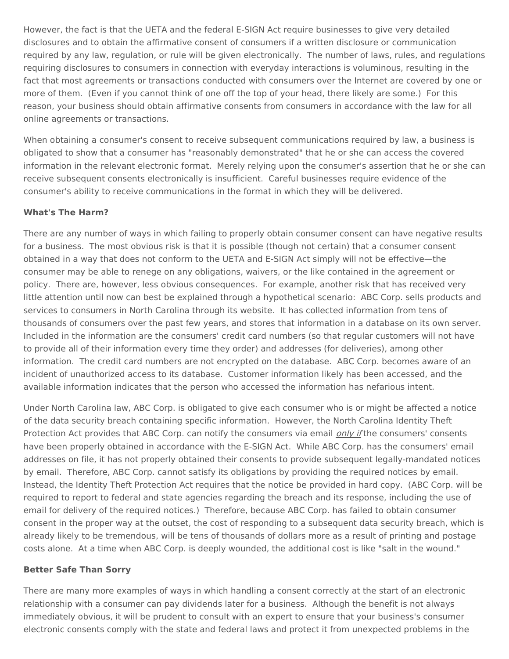However, the fact is that the UETA and the federal E-SIGN Act require businesses to give very detailed disclosures and to obtain the affirmative consent of consumers if a written disclosure or communication required by any law, regulation, or rule will be given electronically. The number of laws, rules, and regulations requiring disclosures to consumers in connection with everyday interactions is voluminous, resulting in the fact that most agreements or transactions conducted with consumers over the Internet are covered by one or more of them. (Even if you cannot think of one off the top of your head, there likely are some.) For this reason, your business should obtain affirmative consents from consumers in accordance with the law for all online agreements or transactions.

When obtaining a consumer's consent to receive subsequent communications required by law, a business is obligated to show that a consumer has "reasonably demonstrated" that he or she can access the covered information in the relevant electronic format. Merely relying upon the consumer's assertion that he or she can receive subsequent consents electronically is insufficient. Careful businesses require evidence of the consumer's ability to receive communications in the format in which they will be delivered.

### **What's The Harm?**

There are any number of ways in which failing to properly obtain consumer consent can have negative results for a business. The most obvious risk is that it is possible (though not certain) that a consumer consent obtained in a way that does not conform to the UETA and E-SIGN Act simply will not be effective—the consumer may be able to renege on any obligations, waivers, or the like contained in the agreement or policy. There are, however, less obvious consequences. For example, another risk that has received very little attention until now can best be explained through a hypothetical scenario: ABC Corp. sells products and services to consumers in North Carolina through its website. It has collected information from tens of thousands of consumers over the past few years, and stores that information in a database on its own server. Included in the information are the consumers' credit card numbers (so that regular customers will not have to provide all of their information every time they order) and addresses (for deliveries), among other information. The credit card numbers are not encrypted on the database. ABC Corp. becomes aware of an incident of unauthorized access to its database. Customer information likely has been accessed, and the available information indicates that the person who accessed the information has nefarious intent.

Under North Carolina law, ABC Corp. is obligated to give each consumer who is or might be affected a notice of the data security breach containing specific information. However, the North Carolina Identity Theft Protection Act provides that ABC Corp. can notify the consumers via email *only if* the consumers' consents have been properly obtained in accordance with the E-SIGN Act. While ABC Corp. has the consumers' email addresses on file, it has not properly obtained their consents to provide subsequent legally-mandated notices by email. Therefore, ABC Corp. cannot satisfy its obligations by providing the required notices by email. Instead, the Identity Theft Protection Act requires that the notice be provided in hard copy. (ABC Corp. will be required to report to federal and state agencies regarding the breach and its response, including the use of email for delivery of the required notices.) Therefore, because ABC Corp. has failed to obtain consumer consent in the proper way at the outset, the cost of responding to a subsequent data security breach, which is already likely to be tremendous, will be tens of thousands of dollars more as a result of printing and postage costs alone. At a time when ABC Corp. is deeply wounded, the additional cost is like "salt in the wound."

#### **Better Safe Than Sorry**

There are many more examples of ways in which handling a consent correctly at the start of an electronic relationship with a consumer can pay dividends later for a business. Although the benefit is not always immediately obvious, it will be prudent to consult with an expert to ensure that your business's consumer electronic consents comply with the state and federal laws and protect it from unexpected problems in the